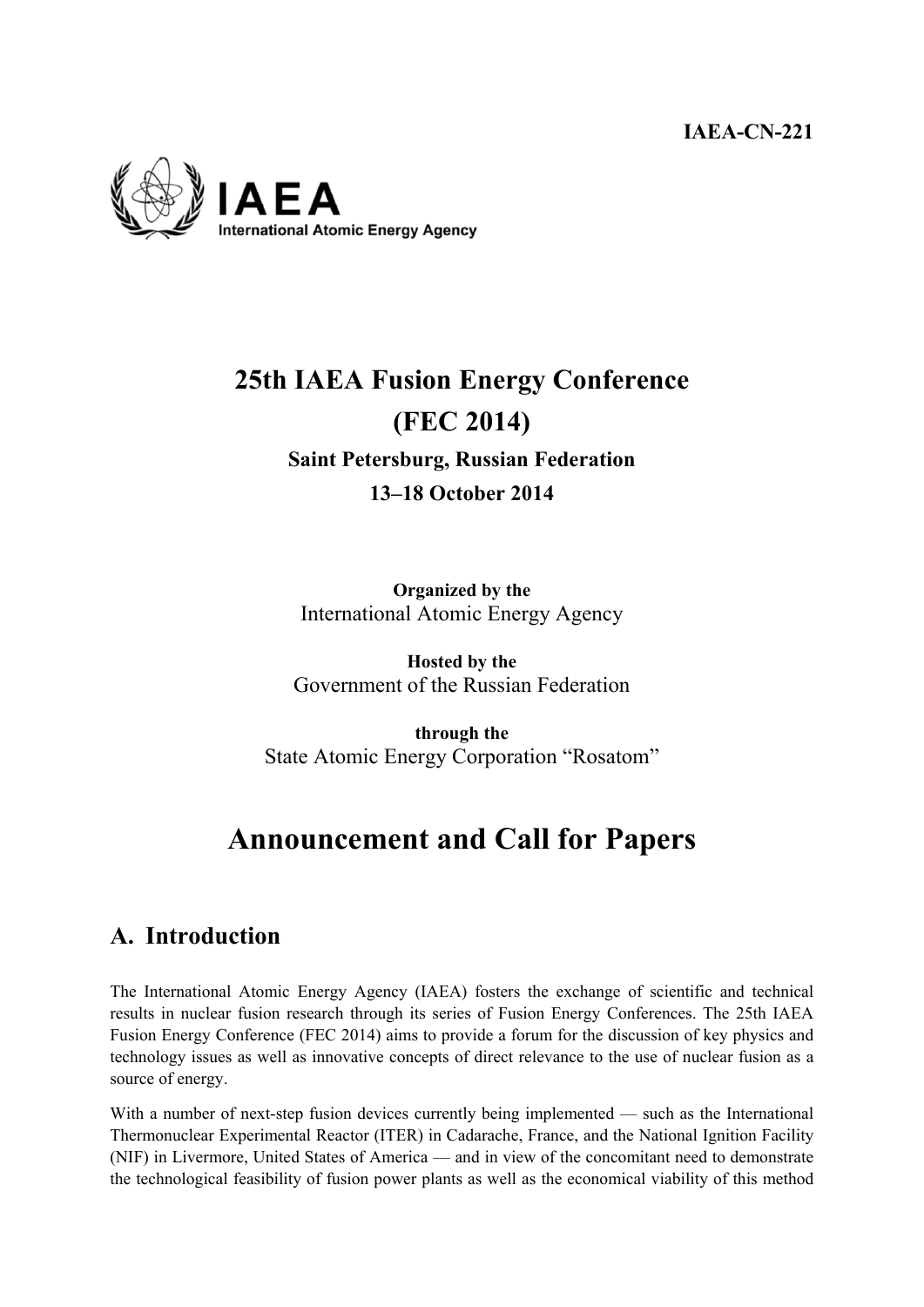**IAEA-CN-221** 



# **25th IAEA Fusion Energy Conference (FEC 2014) Saint Petersburg, Russian Federation 13–18 October 2014**

**Organized by the**

International Atomic Energy Agency

**Hosted by the**  Government of the Russian Federation

**through the**  State Atomic Energy Corporation "Rosatom"

# **Announcement and Call for Papers**

# **A. Introduction**

The International Atomic Energy Agency (IAEA) fosters the exchange of scientific and technical results in nuclear fusion research through its series of Fusion Energy Conferences. The 25th IAEA Fusion Energy Conference (FEC 2014) aims to provide a forum for the discussion of key physics and technology issues as well as innovative concepts of direct relevance to the use of nuclear fusion as a source of energy.

With a number of next-step fusion devices currently being implemented — such as the International Thermonuclear Experimental Reactor (ITER) in Cadarache, France, and the National Ignition Facility (NIF) in Livermore, United States of America — and in view of the concomitant need to demonstrate the technological feasibility of fusion power plants as well as the economical viability of this method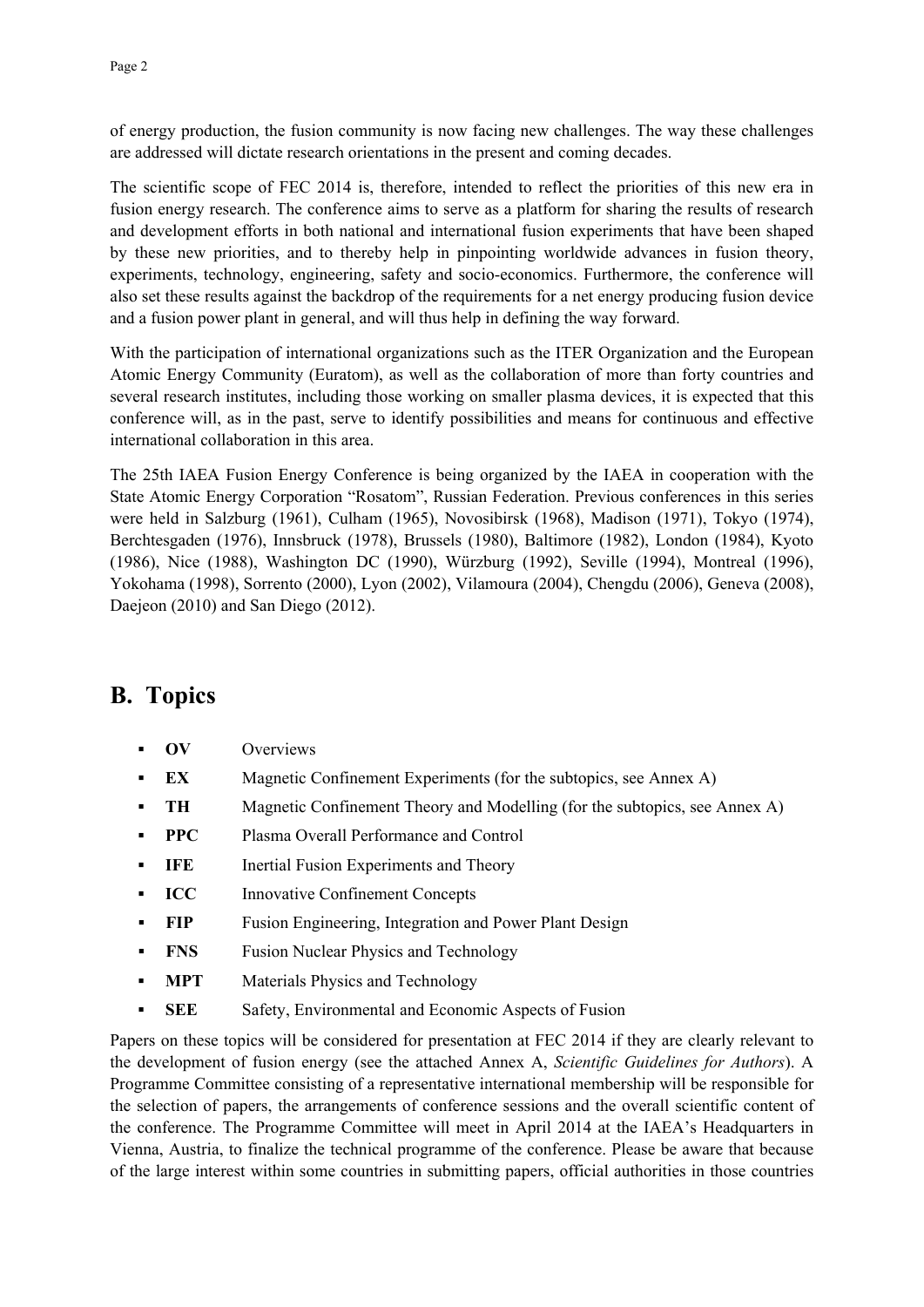of energy production, the fusion community is now facing new challenges. The way these challenges are addressed will dictate research orientations in the present and coming decades.

The scientific scope of FEC 2014 is, therefore, intended to reflect the priorities of this new era in fusion energy research. The conference aims to serve as a platform for sharing the results of research and development efforts in both national and international fusion experiments that have been shaped by these new priorities, and to thereby help in pinpointing worldwide advances in fusion theory, experiments, technology, engineering, safety and socio-economics. Furthermore, the conference will also set these results against the backdrop of the requirements for a net energy producing fusion device and a fusion power plant in general, and will thus help in defining the way forward.

With the participation of international organizations such as the ITER Organization and the European Atomic Energy Community (Euratom), as well as the collaboration of more than forty countries and several research institutes, including those working on smaller plasma devices, it is expected that this conference will, as in the past, serve to identify possibilities and means for continuous and effective international collaboration in this area.

The 25th IAEA Fusion Energy Conference is being organized by the IAEA in cooperation with the State Atomic Energy Corporation "Rosatom", Russian Federation. Previous conferences in this series were held in Salzburg (1961), Culham (1965), Novosibirsk (1968), Madison (1971), Tokyo (1974), Berchtesgaden (1976), Innsbruck (1978), Brussels (1980), Baltimore (1982), London (1984), Kyoto (1986), Nice (1988), Washington DC (1990), Würzburg (1992), Seville (1994), Montreal (1996), Yokohama (1998), Sorrento (2000), Lyon (2002), Vilamoura (2004), Chengdu (2006), Geneva (2008), Daejeon (2010) and San Diego (2012).

# **B. Topics**

- **OV** Overviews
- **EX** Magnetic Confinement Experiments (for the subtopics, see Annex A)
- **TH** Magnetic Confinement Theory and Modelling (for the subtopics, see Annex A)
- **PPC** Plasma Overall Performance and Control
- **IFE** Inertial Fusion Experiments and Theory
- **ICC** Innovative Confinement Concepts
- **FIP** Fusion Engineering, Integration and Power Plant Design
- **FNS** Fusion Nuclear Physics and Technology
- **MPT** Materials Physics and Technology
- **SEE** Safety, Environmental and Economic Aspects of Fusion

Papers on these topics will be considered for presentation at FEC 2014 if they are clearly relevant to the development of fusion energy (see the attached Annex A, *Scientific Guidelines for Authors*). A Programme Committee consisting of a representative international membership will be responsible for the selection of papers, the arrangements of conference sessions and the overall scientific content of the conference. The Programme Committee will meet in April 2014 at the IAEA's Headquarters in Vienna, Austria, to finalize the technical programme of the conference. Please be aware that because of the large interest within some countries in submitting papers, official authorities in those countries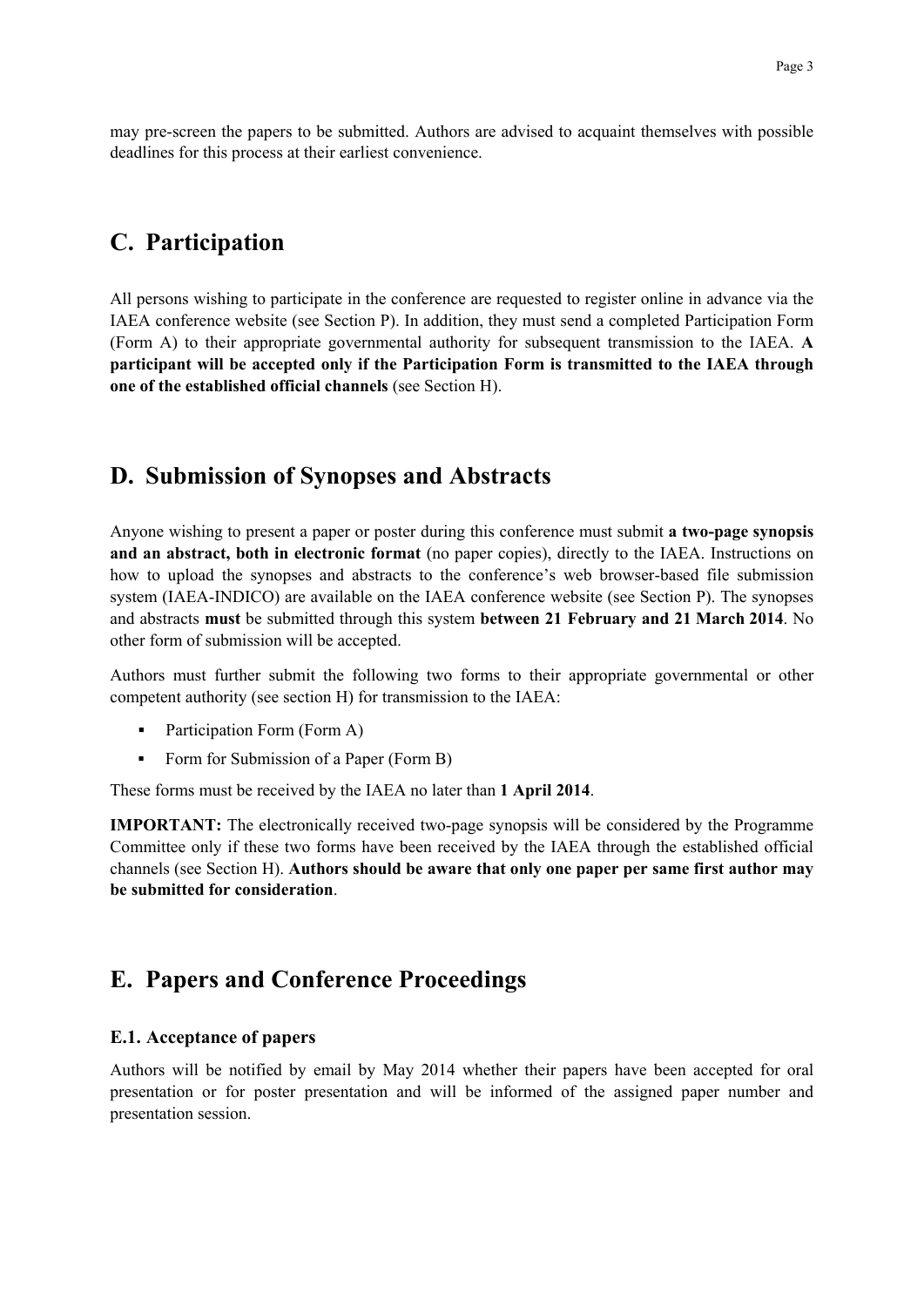may pre-screen the papers to be submitted. Authors are advised to acquaint themselves with possible deadlines for this process at their earliest convenience.

### **C. Participation**

All persons wishing to participate in the conference are requested to register online in advance via the IAEA conference website (see Section P). In addition, they must send a completed Participation Form (Form A) to their appropriate governmental authority for subsequent transmission to the IAEA. **A participant will be accepted only if the Participation Form is transmitted to the IAEA through one of the established official channels** (see Section H).

### **D. Submission of Synopses and Abstracts**

Anyone wishing to present a paper or poster during this conference must submit **a two-page synopsis and an abstract, both in electronic format** (no paper copies), directly to the IAEA. Instructions on how to upload the synopses and abstracts to the conference's web browser-based file submission system (IAEA-INDICO) are available on the IAEA conference website (see Section P). The synopses and abstracts **must** be submitted through this system **between 21 February and 21 March 2014**. No other form of submission will be accepted.

Authors must further submit the following two forms to their appropriate governmental or other competent authority (see section H) for transmission to the IAEA:

- Participation Form (Form A)
- Form for Submission of a Paper (Form B)

These forms must be received by the IAEA no later than **1 April 2014**.

**IMPORTANT:** The electronically received two-page synopsis will be considered by the Programme Committee only if these two forms have been received by the IAEA through the established official channels (see Section H). **Authors should be aware that only one paper per same first author may be submitted for consideration**.

### **E. Papers and Conference Proceedings**

#### **E.1. Acceptance of papers**

Authors will be notified by email by May 2014 whether their papers have been accepted for oral presentation or for poster presentation and will be informed of the assigned paper number and presentation session.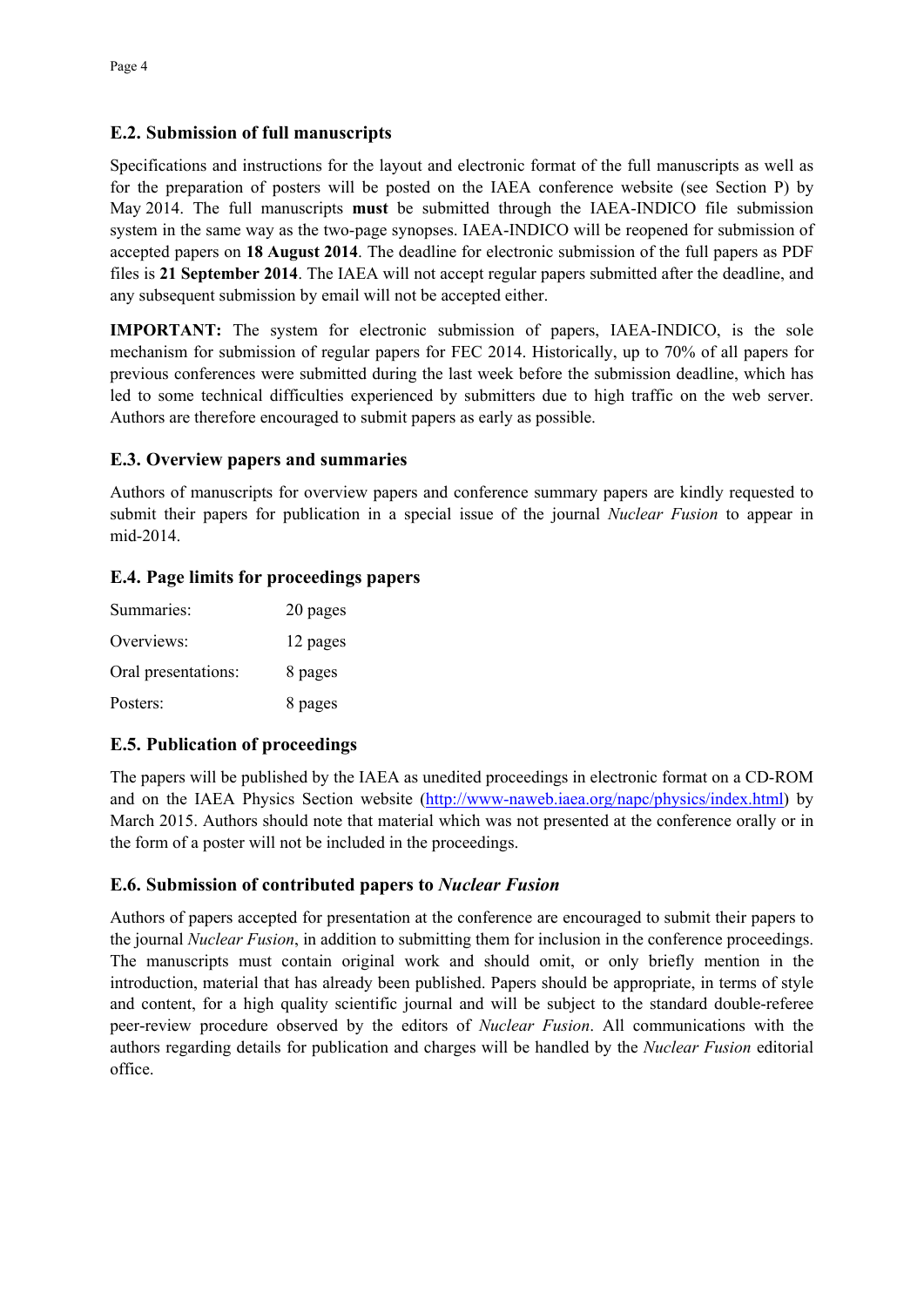#### **E.2. Submission of full manuscripts**

Specifications and instructions for the layout and electronic format of the full manuscripts as well as for the preparation of posters will be posted on the IAEA conference website (see Section P) by May 2014. The full manuscripts **must** be submitted through the IAEA-INDICO file submission system in the same way as the two-page synopses. IAEA-INDICO will be reopened for submission of accepted papers on **18 August 2014**. The deadline for electronic submission of the full papers as PDF files is **21 September 2014**. The IAEA will not accept regular papers submitted after the deadline, and any subsequent submission by email will not be accepted either.

**IMPORTANT:** The system for electronic submission of papers, IAEA-INDICO, is the sole mechanism for submission of regular papers for FEC 2014. Historically, up to 70% of all papers for previous conferences were submitted during the last week before the submission deadline, which has led to some technical difficulties experienced by submitters due to high traffic on the web server. Authors are therefore encouraged to submit papers as early as possible.

### **E.3. Overview papers and summaries**

Authors of manuscripts for overview papers and conference summary papers are kindly requested to submit their papers for publication in a special issue of the journal *Nuclear Fusion* to appear in mid-2014.

### **E.4. Page limits for proceedings papers**

| Summaries:          | 20 pages |
|---------------------|----------|
| Overviews:          | 12 pages |
| Oral presentations: | 8 pages  |
| Posters:            | 8 pages  |

### **E.5. Publication of proceedings**

The papers will be published by the IAEA as unedited proceedings in electronic format on a CD-ROM and on the IAEA Physics Section website (http://www-naweb.iaea.org/napc/physics/index.html) by March 2015. Authors should note that material which was not presented at the conference orally or in the form of a poster will not be included in the proceedings.

### **E.6. Submission of contributed papers to** *Nuclear Fusion*

Authors of papers accepted for presentation at the conference are encouraged to submit their papers to the journal *Nuclear Fusion*, in addition to submitting them for inclusion in the conference proceedings. The manuscripts must contain original work and should omit, or only briefly mention in the introduction, material that has already been published. Papers should be appropriate, in terms of style and content, for a high quality scientific journal and will be subject to the standard double-referee peer-review procedure observed by the editors of *Nuclear Fusion*. All communications with the authors regarding details for publication and charges will be handled by the *Nuclear Fusion* editorial office.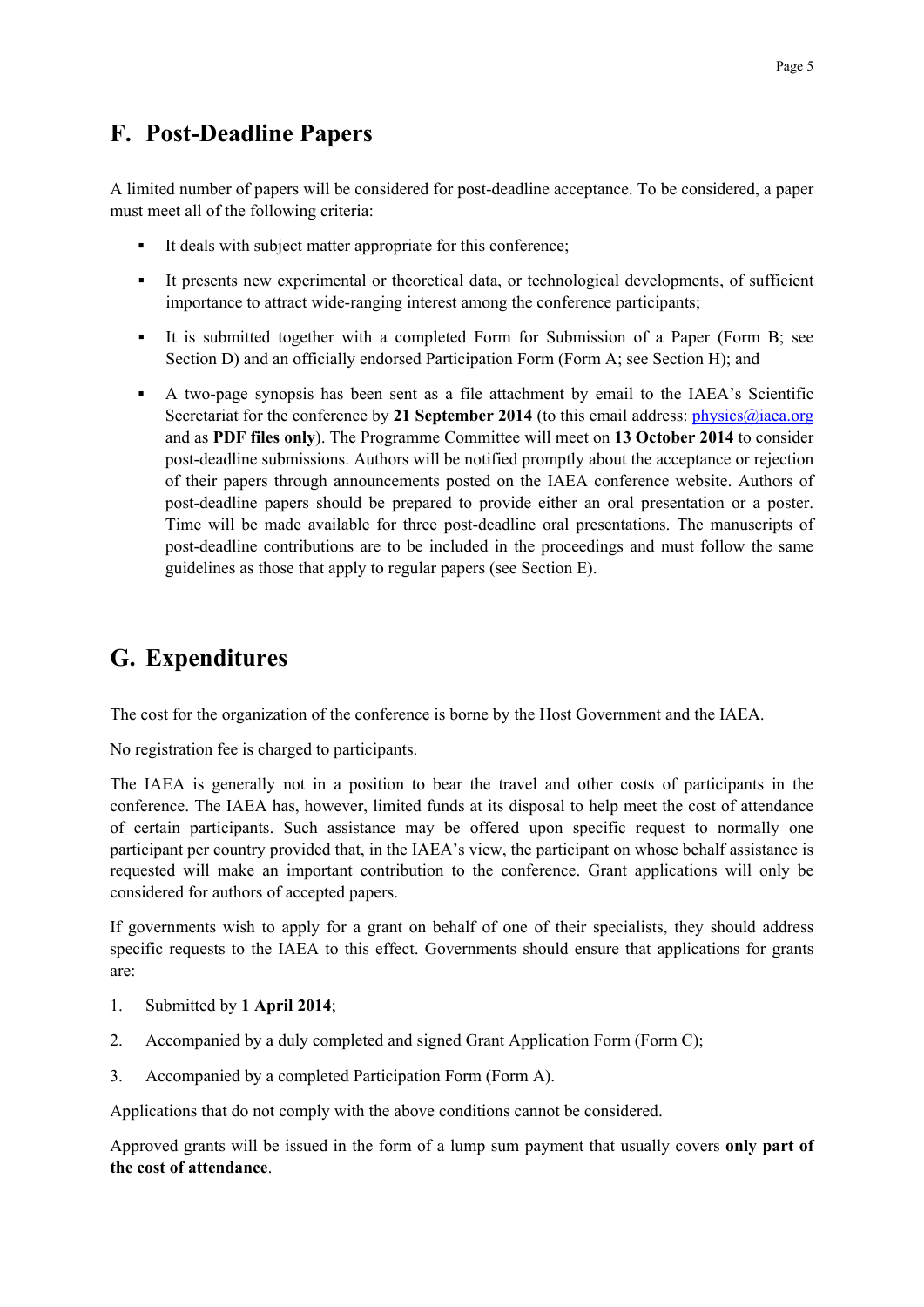# **F. Post-Deadline Papers**

A limited number of papers will be considered for post-deadline acceptance. To be considered, a paper must meet all of the following criteria:

- It deals with subject matter appropriate for this conference;
- It presents new experimental or theoretical data, or technological developments, of sufficient importance to attract wide-ranging interest among the conference participants;
- It is submitted together with a completed Form for Submission of a Paper (Form B; see Section D) and an officially endorsed Participation Form (Form A; see Section H); and
- A two-page synopsis has been sent as a file attachment by email to the IAEA's Scientific Secretariat for the conference by 21 September 2014 (to this email address: *physics@iaea.org*) and as **PDF files only**). The Programme Committee will meet on **13 October 2014** to consider post-deadline submissions. Authors will be notified promptly about the acceptance or rejection of their papers through announcements posted on the IAEA conference website. Authors of post-deadline papers should be prepared to provide either an oral presentation or a poster. Time will be made available for three post-deadline oral presentations. The manuscripts of post-deadline contributions are to be included in the proceedings and must follow the same guidelines as those that apply to regular papers (see Section E).

# **G. Expenditures**

The cost for the organization of the conference is borne by the Host Government and the IAEA.

No registration fee is charged to participants.

The IAEA is generally not in a position to bear the travel and other costs of participants in the conference. The IAEA has, however, limited funds at its disposal to help meet the cost of attendance of certain participants. Such assistance may be offered upon specific request to normally one participant per country provided that, in the IAEA's view, the participant on whose behalf assistance is requested will make an important contribution to the conference. Grant applications will only be considered for authors of accepted papers.

If governments wish to apply for a grant on behalf of one of their specialists, they should address specific requests to the IAEA to this effect. Governments should ensure that applications for grants are:

- 1. Submitted by **1 April 2014**;
- 2. Accompanied by a duly completed and signed Grant Application Form (Form C);
- 3. Accompanied by a completed Participation Form (Form A).

Applications that do not comply with the above conditions cannot be considered.

Approved grants will be issued in the form of a lump sum payment that usually covers **only part of the cost of attendance**.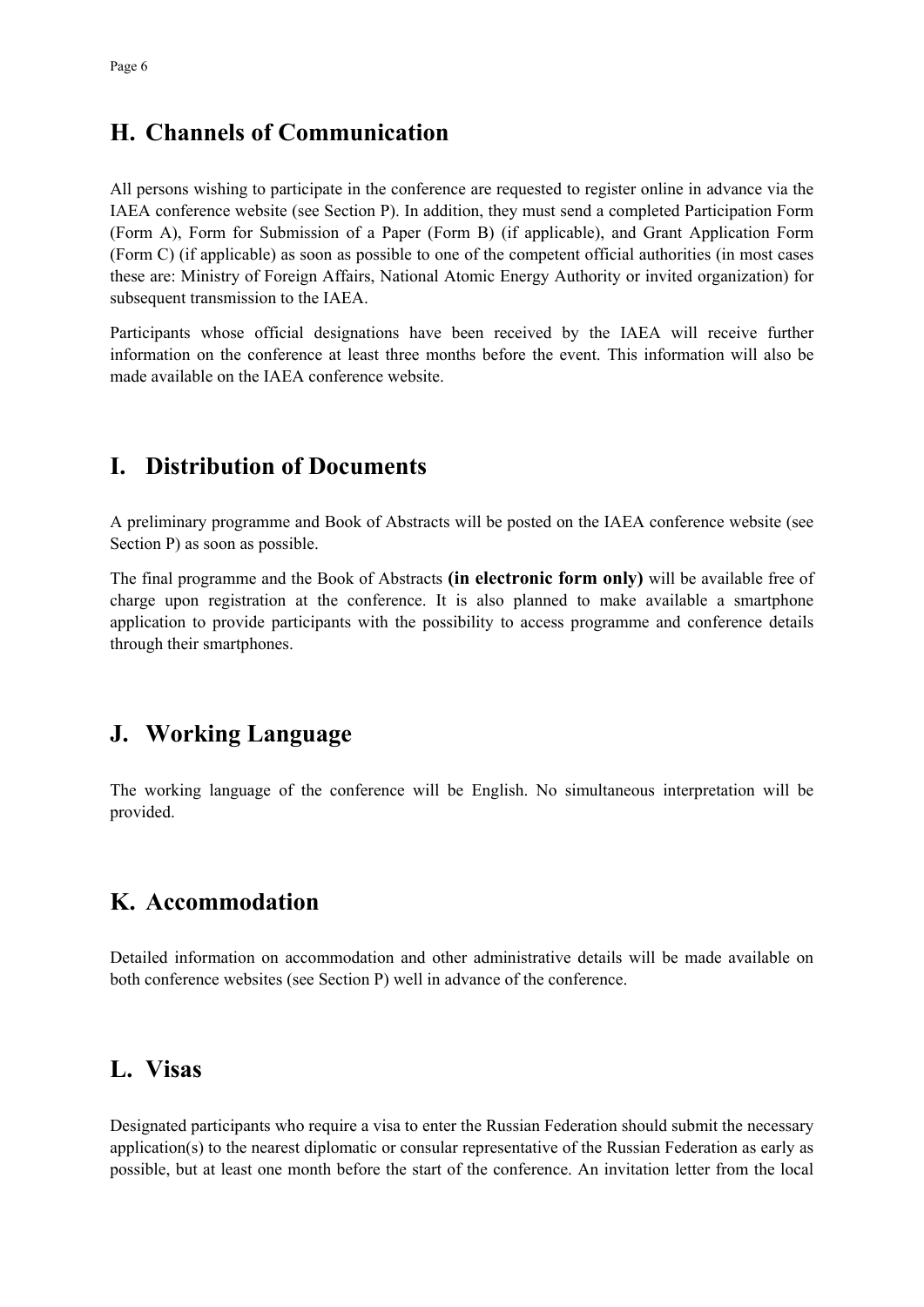## **H. Channels of Communication**

All persons wishing to participate in the conference are requested to register online in advance via the IAEA conference website (see Section P). In addition, they must send a completed Participation Form (Form A), Form for Submission of a Paper (Form B) (if applicable), and Grant Application Form (Form C) (if applicable) as soon as possible to one of the competent official authorities (in most cases these are: Ministry of Foreign Affairs, National Atomic Energy Authority or invited organization) for subsequent transmission to the IAEA.

Participants whose official designations have been received by the IAEA will receive further information on the conference at least three months before the event. This information will also be made available on the IAEA conference website.

## **I. Distribution of Documents**

A preliminary programme and Book of Abstracts will be posted on the IAEA conference website (see Section P) as soon as possible.

The final programme and the Book of Abstracts **(in electronic form only)** will be available free of charge upon registration at the conference. It is also planned to make available a smartphone application to provide participants with the possibility to access programme and conference details through their smartphones.

# **J. Working Language**

The working language of the conference will be English. No simultaneous interpretation will be provided.

# **K. Accommodation**

Detailed information on accommodation and other administrative details will be made available on both conference websites (see Section P) well in advance of the conference.

### **L. Visas**

Designated participants who require a visa to enter the Russian Federation should submit the necessary application(s) to the nearest diplomatic or consular representative of the Russian Federation as early as possible, but at least one month before the start of the conference. An invitation letter from the local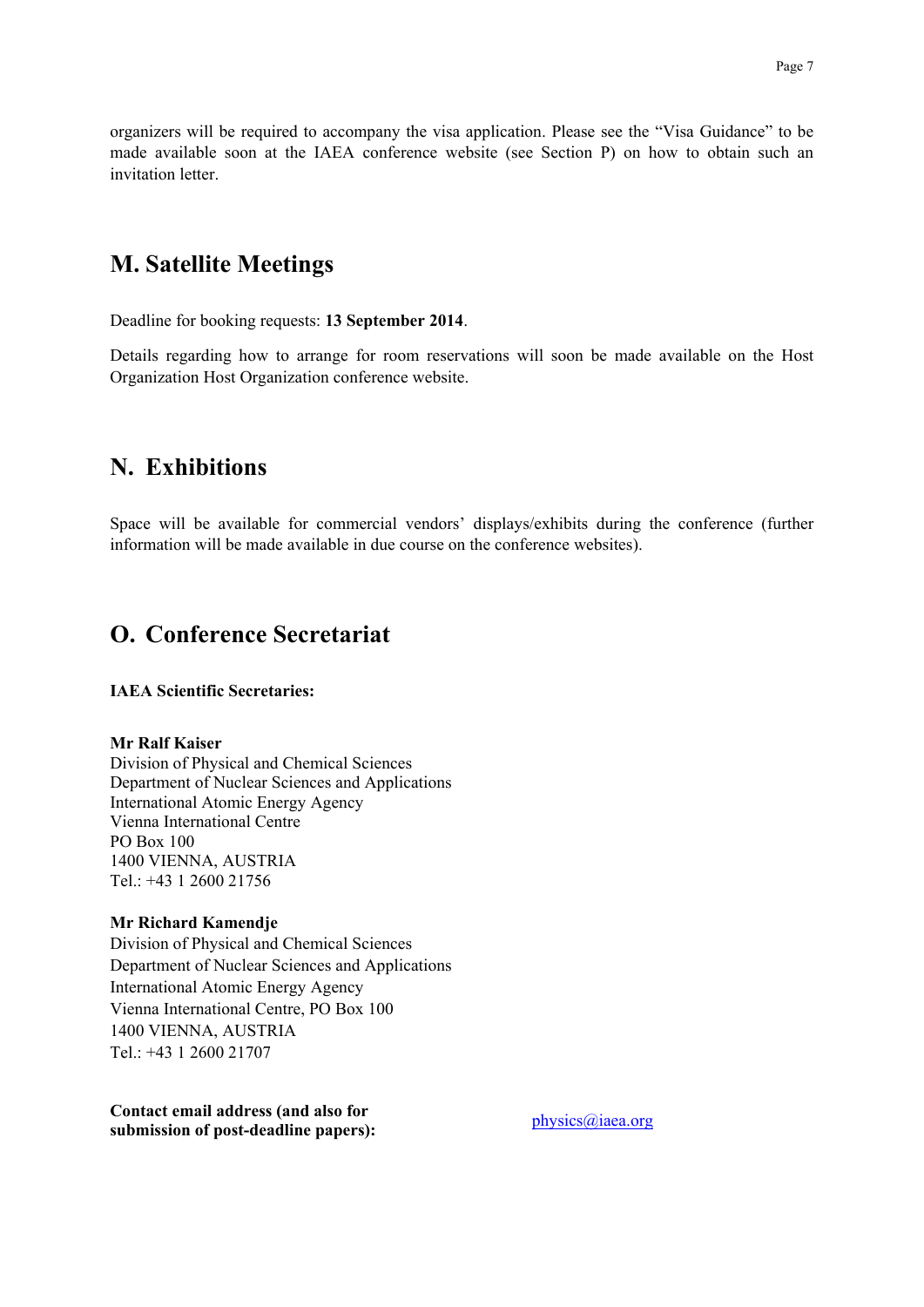organizers will be required to accompany the visa application. Please see the "Visa Guidance" to be made available soon at the IAEA conference website (see Section P) on how to obtain such an invitation letter.

### **M. Satellite Meetings**

Deadline for booking requests: **13 September 2014**.

Details regarding how to arrange for room reservations will soon be made available on the Host Organization Host Organization conference website.

### **N. Exhibitions**

Space will be available for commercial vendors' displays/exhibits during the conference (further information will be made available in due course on the conference websites).

### **O. Conference Secretariat**

#### **IAEA Scientific Secretaries:**

#### **Mr Ralf Kaiser**

Division of Physical and Chemical Sciences Department of Nuclear Sciences and Applications International Atomic Energy Agency Vienna International Centre PO Box 100 1400 VIENNA, AUSTRIA Tel.: +43 1 2600 21756

#### **Mr Richard Kamendje**

Division of Physical and Chemical Sciences Department of Nuclear Sciences and Applications International Atomic Energy Agency Vienna International Centre, PO Box 100 1400 VIENNA, AUSTRIA Tel:  $+43$  1 2600 21707

**Contact email address (and also for submission of post-deadline papers):** <br>physics@iaea.org